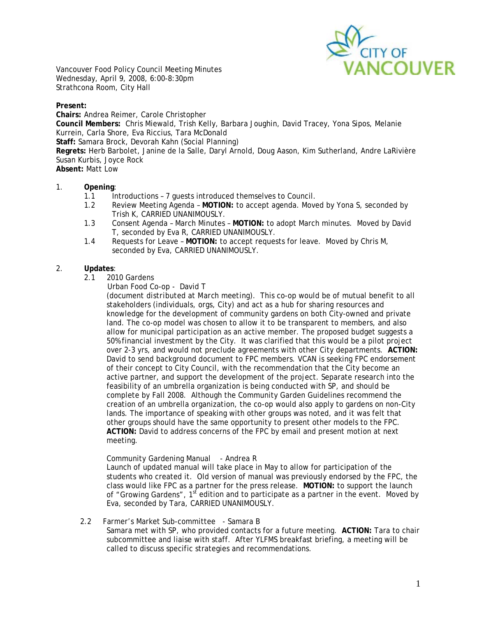

Vancouver Food Policy Council Meeting Minutes Wednesday, April 9, 2008, 6:00-8:30pm Strathcona Room, City Hall

#### **Present:**

**Chairs:** Andrea Reimer, Carole Christopher **Council Members:** Chris Miewald, Trish Kelly, Barbara Joughin, David Tracey, Yona Sipos, Melanie Kurrein, Carla Shore, Eva Riccius, Tara McDonald **Staff:** Samara Brock, Devorah Kahn (Social Planning) **Regrets:** Herb Barbolet, Janine de la Salle, Daryl Arnold, Doug Aason, Kim Sutherland, Andre LaRivière Susan Kurbis, Joyce Rock **Absent:** Matt Low

## 1. **Opening**:

- 1.1 Introductions 7 quests introduced themselves to Council.
- 1.2 Review Meeting Agenda **MOTION:** to accept agenda. Moved by Yona S, seconded by Trish K, CARRIED UNANIMOUSLY.
- 1.3 Consent Agenda March Minutes **MOTION:** to adopt March minutes. Moved by David T, seconded by Eva R, CARRIED UNANIMOUSLY.
- 1.4 Requests for Leave **MOTION:** to accept requests for leave. Moved by Chris M, seconded by Eva, CARRIED UNANIMOUSLY.

## 2. **Updates**:

- 2.1 2010 Gardens
	- Urban Food Co-op David T

(*document distributed at March meeting)*. This co-op would be of mutual benefit to all stakeholders (individuals, orgs, City) and act as a hub for sharing resources and knowledge for the development of community gardens on both City-owned and private land. The co-op model was chosen to allow it to be transparent to members, and also allow for municipal participation as an active member. The proposed budget suggests a 50% financial investment by the City. It was clarified that this would be a pilot project over 2-3 yrs, and would not preclude agreements with other City departments. **ACTION:** David to send background document to FPC members. VCAN is seeking FPC endorsement of their concept to City Council, with the recommendation that the City become an active partner, and support the development of the project. Separate research into the feasibility of an umbrella organization is being conducted with SP, and should be complete by Fall 2008. Although the Community Garden Guidelines recommend the creation of an umbrella organization, the co-op would also apply to gardens on non-City lands. The importance of speaking with other groups was noted, and it was felt that other groups should have the same opportunity to present other models to the FPC. **ACTION:** David to address concerns of the FPC by email and present motion at next meeting.

# Community Gardening Manual - Andrea R

Launch of updated manual will take place in May to allow for participation of the students who created it. Old version of manual was previously endorsed by the FPC, the class would like FPC as a partner for the press release. **MOTION:** to support the launch of "Growing Gardens", 1<sup>st</sup> edition and to participate as a partner in the event. Moved by Eva, seconded by Tara, CARRIED UNANIMOUSLY.

2.2 Farmer's Market Sub-committee - Samara B

 Samara met with SP, who provided contacts for a future meeting. **ACTION:** Tara to chair subcommittee and liaise with staff. After YLFMS breakfast briefing, a meeting will be called to discuss specific strategies and recommendations.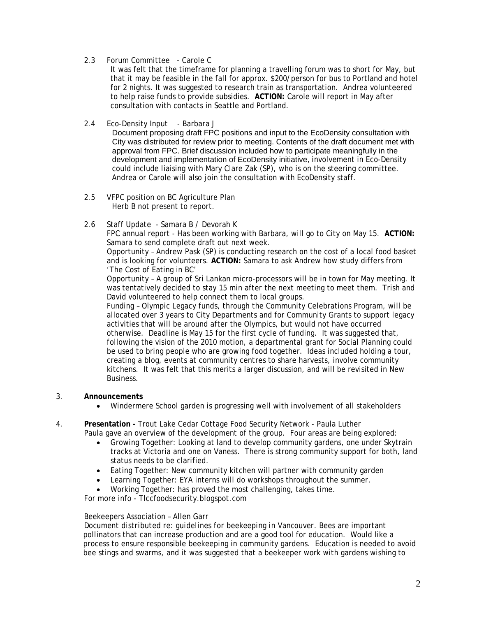2.3 Forum Committee - Carole C

It was felt that the timeframe for planning a travelling forum was to short for May, but that it may be feasible in the fall for approx. \$200/person for bus to Portland and hotel for 2 nights. It was suggested to research train as transportation. Andrea volunteered to help raise funds to provide subsidies. **ACTION:** Carole will report in May after consultation with contacts in Seattle and Portland.

2.4 Eco-Density Input - Barbara J

 Document proposing draft FPC positions and input to the EcoDensity consultation with City was distributed for review prior to meeting. Contents of the draft document met with approval from FPC. Brief discussion included how to participate meaningfully in the development and implementation of EcoDensity initiative, involvement in Eco-Density could include liaising with Mary Clare Zak (SP), who is on the steering committee. Andrea or Carole will also join the consultation with EcoDensity staff.

- 2.5 VFPC position on BC Agriculture Plan Herb B not present to report.
- 2.6 Staff Update Samara B / Devorah K

FPC annual report - Has been working with Barbara, will go to City on May 15. **ACTION:**  Samara to send complete draft out next week.

Opportunity – Andrew Pask (SP) is conducting research on the cost of a local food basket and is looking for volunteers. **ACTION:** Samara to ask Andrew how study differs from 'The Cost of Eating in BC'

Opportunity – A group of Sri Lankan micro-processors will be in town for May meeting. It was tentatively decided to stay 15 min after the next meeting to meet them. Trish and David volunteered to help connect them to local groups.

Funding – Olympic Legacy funds, through the Community Celebrations Program, will be allocated over 3 years to City Departments and for Community Grants to support legacy activities that will be around after the Olympics, but would not have occurred otherwise. Deadline is May 15 for the first cycle of funding. It was suggested that, following the vision of the 2010 motion, a departmental grant for Social Planning could be used to bring people who are growing food together. Ideas included holding a tour, creating a blog, events at community centres to share harvests, involve community kitchens. It was felt that this merits a larger discussion, and will be revisited in New Business.

- 3. **Announcements**
	- Windermere School garden is progressing well with involvement of all stakeholders

4. **Presentation -** Trout Lake Cedar Cottage Food Security Network - Paula Luther Paula gave an overview of the development of the group. Four areas are being explored:

- Growing Together: Looking at land to develop community gardens, one under Skytrain tracks at Victoria and one on Vaness. There is strong community support for both, land status needs to be clarified.
- Eating Together: New community kitchen will partner with community garden
- Learning Together: EYA interns will do workshops throughout the summer.
- Working Together: has proved the most challenging, takes time.

For more info - Tlccfoodsecurity.blogspot.com

#### Beekeepers Association – Allen Garr

*Document distributed re: guidelines for beekeeping in Vancouver.* Bees are important pollinators that can increase production and are a good tool for education. Would like a process to ensure responsible beekeeping in community gardens. Education is needed to avoid bee stings and swarms, and it was suggested that a beekeeper work with gardens wishing to